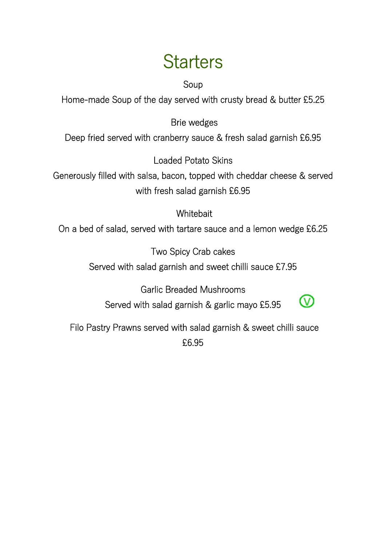### **Starters**

Soup

Home-made Soup of the day served with crusty bread & butter £5.25

Brie wedges

Deep fried served with cranberry sauce & fresh salad garnish £6.95

Loaded Potato Skins

Generously filled with salsa, bacon, topped with cheddar cheese & served with fresh salad garnish £6.95

#### **Whitebait**

On a bed of salad, served with tartare sauce and a lemon wedge £6.25

Two Spicy Crab cakes Served with salad garnish and sweet chilli sauce £7.95

Garlic Breaded Mushrooms Served with salad garnish & garlic mayo £5.95



 Filo Pastry Prawns served with salad garnish & sweet chilli sauce £6.95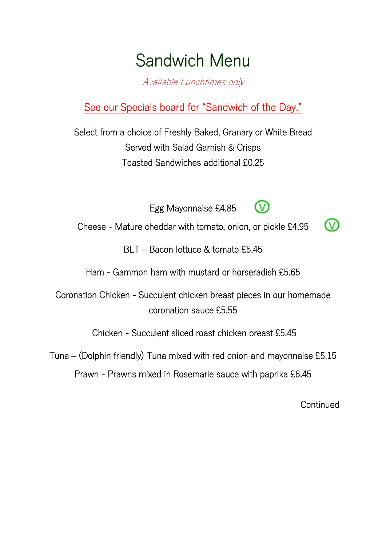### Sandwich Menu

Available Lunchtimes only

See our Specials board for "Sandwich of the Day."

Select from a choice of Freshly Baked, Granary or White Bread Served with Salad Garnish & Crisps Toasted Sandwiches additional £0.25

Egg Mayonnaise £4.85



൜

(V

Cheese - Mature cheddar with tomato, onion, or pickle £4.95

BLT – Bacon lettuce & tomato £5.45

Ham - Gammon ham with mustard or horseradish £5.65

Coronation Chicken - Succulent chicken breast pieces in our homemade coronation sauce £5.55

Chicken - Succulent sliced roast chicken breast £5.45

Tuna – (Dolphin friendly) Tuna mixed with red onion and mayonnaise £5.15

Prawn - Prawns mixed in Rosemarie sauce with paprika £6.45

**Continued**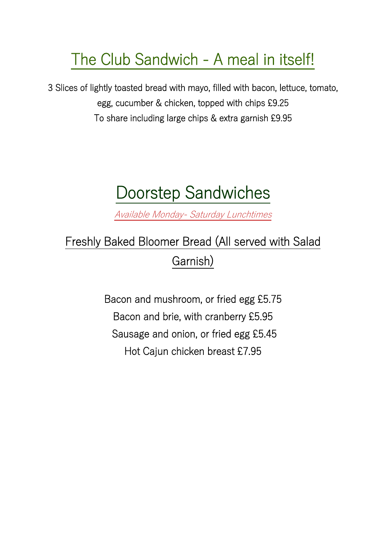### The Club Sandwich - A meal in itself!

3 Slices of lightly toasted bread with mayo, filled with bacon, lettuce, tomato, egg, cucumber & chicken, topped with chips £9.25 To share including large chips & extra garnish £9.95

# Doorstep Sandwiches

Available Monday- Saturday Lunchtimes

### Freshly Baked Bloomer Bread (All served with Salad Garnish)

Bacon and mushroom, or fried egg £5.75 Bacon and brie, with cranberry £5.95 Sausage and onion, or fried egg £5.45 Hot Cajun chicken breast £7.95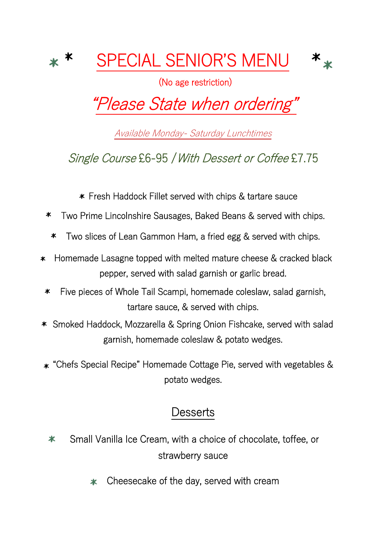

(No age restriction)

 $\star$ 

# "Please State when ordering"

Available Monday- Saturday Lunchtimes

Single Course £6-95 / With Dessert or Coffee £7.75

Fresh Haddock Fillet served with chips & tartare sauce

- Two Prime Lincolnshire Sausages, Baked Beans & served with chips. ∗
	- Two slices of Lean Gammon Ham, a fried egg & served with chips. ∗
- Homemade Lasagne topped with melted mature cheese & cracked black  $\ast$ pepper, served with salad garnish or garlic bread.
- Five pieces of Whole Tail Scampi, homemade coleslaw, salad garnish, ∗ tartare sauce, & served with chips.
- Smoked Haddock, Mozzarella & Spring Onion Fishcake, served with salad garnish, homemade coleslaw & potato wedges.
- "Chefs Special Recipe" Homemade Cottage Pie, served with vegetables & potato wedges.

### **Desserts**

- Small Vanilla Ice Cream, with a choice of chocolate, toffee, or  $\ast$ strawberry sauce
	- Cheesecake of the day, served with cream Ж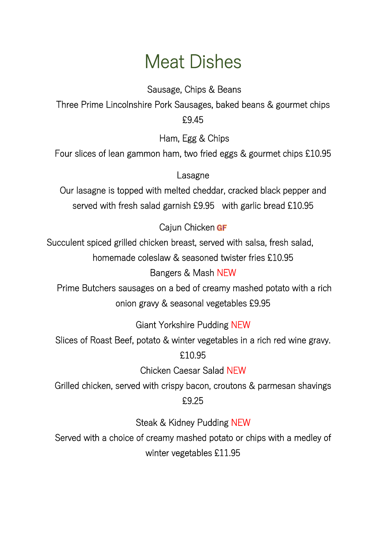### Meat Dishes

 Sausage, Chips & Beans Three Prime Lincolnshire Pork Sausages, baked beans & gourmet chips £9.45

Ham, Egg & Chips

Four slices of lean gammon ham, two fried eggs & gourmet chips £10.95

Lasagne

Our lasagne is topped with melted cheddar, cracked black pepper and served with fresh salad garnish £9.95 with garlic bread £10.95

Cajun Chicken GF

Succulent spiced grilled chicken breast, served with salsa, fresh salad, homemade coleslaw & seasoned twister fries £10.95

#### Bangers & Mash NEW

 Prime Butchers sausages on a bed of creamy mashed potato with a rich onion gravy & seasonal vegetables £9.95

Giant Yorkshire Pudding NEW

Slices of Roast Beef, potato & winter vegetables in a rich red wine gravy.

#### £10.95

Chicken Caesar Salad NEW

Grilled chicken, served with crispy bacon, croutons & parmesan shavings £9.25

Steak & Kidney Pudding NEW

Served with a choice of creamy mashed potato or chips with a medley of winter vegetables £11.95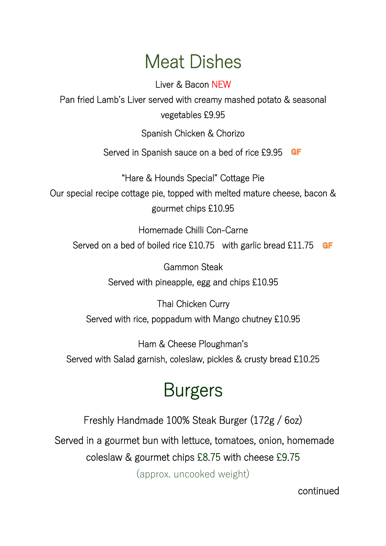### Meat Dishes

Liver & Bacon NEW

Pan fried Lamb's Liver served with creamy mashed potato & seasonal vegetables £9.95

Spanish Chicken & Chorizo

Served in Spanish sauce on a bed of rice £9.95 GF

"Hare & Hounds Special" Cottage Pie Our special recipe cottage pie, topped with melted mature cheese, bacon & gourmet chips £10.95

Homemade Chilli Con-Carne Served on a bed of boiled rice £10.75 with garlic bread £11.75 **GF** 

> Gammon Steak Served with pineapple, egg and chips £10.95

Thai Chicken Curry Served with rice, poppadum with Mango chutney £10.95

Ham & Cheese Ploughman's Served with Salad garnish, coleslaw, pickles & crusty bread £10.25

# Burgers

Freshly Handmade 100% Steak Burger (172g / 6oz)

Served in a gourmet bun with lettuce, tomatoes, onion, homemade

coleslaw & gourmet chips £8.75 with cheese £9.75

(approx. uncooked weight)

continued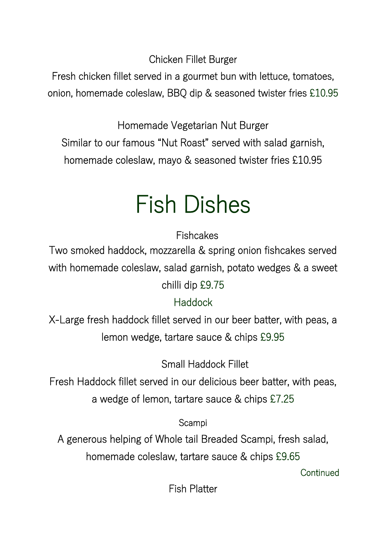Chicken Fillet Burger

Fresh chicken fillet served in a gourmet bun with lettuce, tomatoes, onion, homemade coleslaw, BBQ dip & seasoned twister fries £10.95

Homemade Vegetarian Nut Burger Similar to our famous "Nut Roast" served with salad garnish, homemade coleslaw, mayo & seasoned twister fries £10.95

# Fish Dishes

**Fishcakes** 

Two smoked haddock, mozzarella & spring onion fishcakes served with homemade coleslaw, salad garnish, potato wedges & a sweet chilli dip £9.75

#### Haddock

X-Large fresh haddock fillet served in our beer batter, with peas, a lemon wedge, tartare sauce & chips £9.95

Small Haddock Fillet

Fresh Haddock fillet served in our delicious beer batter, with peas, a wedge of lemon, tartare sauce & chips £7.25

Scampi

A generous helping of Whole tail Breaded Scampi, fresh salad, homemade coleslaw, tartare sauce & chips £9.65

**Continued** 

Fish Platter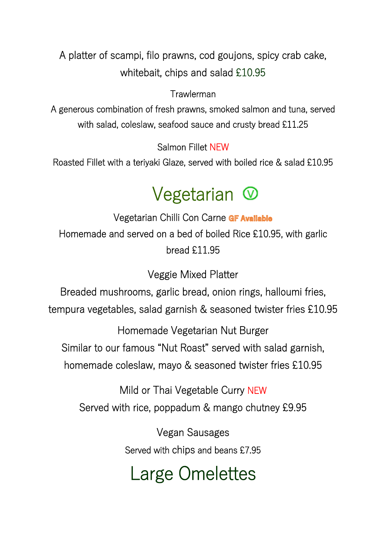A platter of scampi, filo prawns, cod goujons, spicy crab cake, whitebait, chips and salad £10.95

#### Trawlerman

A generous combination of fresh prawns, smoked salmon and tuna, served with salad, coleslaw, seafood sauce and crusty bread £11.25

Salmon Fillet NEW

Roasted Fillet with a teriyaki Glaze, served with boiled rice & salad £10.95

# Vegetarian  $\circledcirc$

Vegetarian Chilli Con Carne GF Available Homemade and served on a bed of boiled Rice £10.95, with garlic bread £11.95

Veggie Mixed Platter

Breaded mushrooms, garlic bread, onion rings, halloumi fries, tempura vegetables, salad garnish & seasoned twister fries £10.95

Homemade Vegetarian Nut Burger Similar to our famous "Nut Roast" served with salad garnish, homemade coleslaw, mayo & seasoned twister fries £10.95

Mild or Thai Vegetable Curry NEW Served with rice, poppadum & mango chutney £9.95

> Vegan Sausages Served with chips and beans £7.95

# Large Omelettes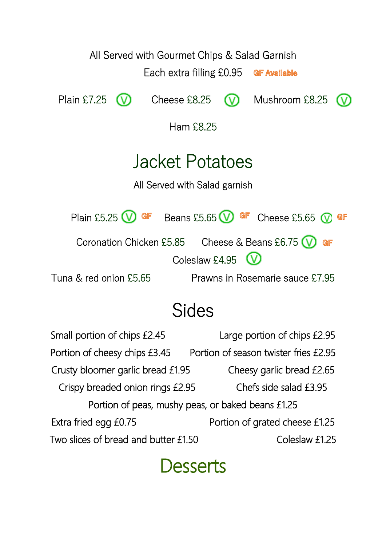

### Sides

Small portion of chips £2.45 Large portion of chips £2.95 Portion of cheesy chips £3.45 Portion of season twister fries £2.95 Crusty bloomer garlic bread £1.95 Cheesy garlic bread £2.65 Crispy breaded onion rings £2.95 Chefs side salad £3.95 Portion of peas, mushy peas, or baked beans £1.25 Extra fried egg £0.75 Portion of grated cheese £1.25 Two slices of bread and butter £1.50 Coleslaw £1.25

### Desserts